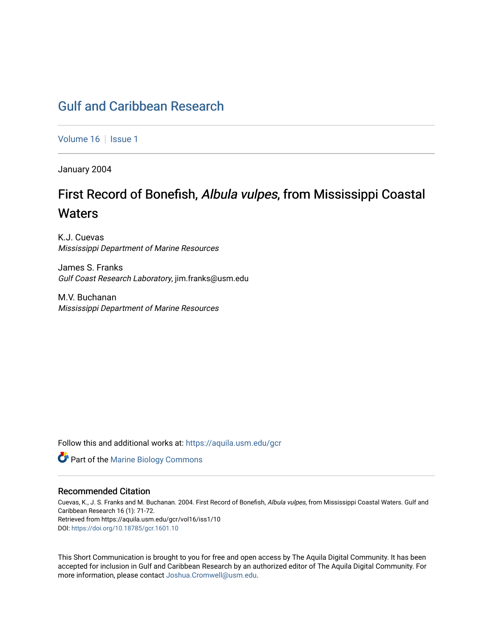# [Gulf and Caribbean Research](https://aquila.usm.edu/gcr)

[Volume 16](https://aquila.usm.edu/gcr/vol16) | [Issue 1](https://aquila.usm.edu/gcr/vol16/iss1)

January 2004

# First Record of Bonefish, Albula vulpes, from Mississippi Coastal **Waters**

K.J. Cuevas Mississippi Department of Marine Resources

James S. Franks Gulf Coast Research Laboratory, jim.franks@usm.edu

M.V. Buchanan Mississippi Department of Marine Resources

Follow this and additional works at: [https://aquila.usm.edu/gcr](https://aquila.usm.edu/gcr?utm_source=aquila.usm.edu%2Fgcr%2Fvol16%2Fiss1%2F10&utm_medium=PDF&utm_campaign=PDFCoverPages) 



### Recommended Citation

Cuevas, K., J. S. Franks and M. Buchanan. 2004. First Record of Bonefish, Albula vulpes, from Mississippi Coastal Waters. Gulf and Caribbean Research 16 (1): 71-72. Retrieved from https://aquila.usm.edu/gcr/vol16/iss1/10 DOI: <https://doi.org/10.18785/gcr.1601.10>

This Short Communication is brought to you for free and open access by The Aquila Digital Community. It has been accepted for inclusion in Gulf and Caribbean Research by an authorized editor of The Aquila Digital Community. For more information, please contact [Joshua.Cromwell@usm.edu.](mailto:Joshua.Cromwell@usm.edu)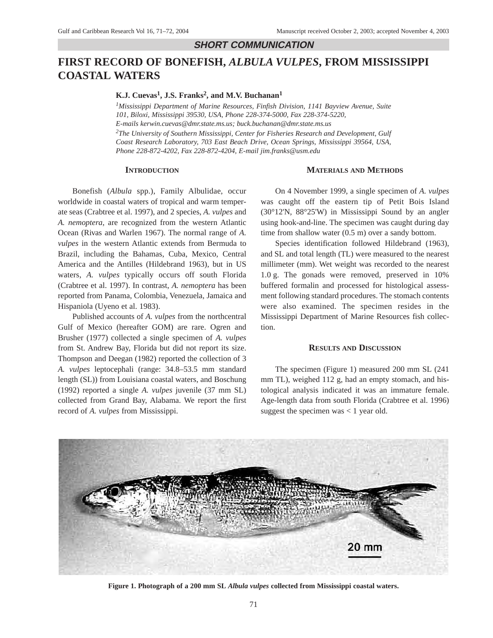### **SHORT COMMUNICATION**

## **FIRST RECORD OF BONEFISH,** *ALBULA VULPES***, FROM MISSISSIPPI COASTAL WATERS**

K.J. Cuevas<sup>1</sup>, J.S. Franks<sup>2</sup>, and M.V. Buchanan<sup>1</sup>

*1Mississippi Department of Marine Resources, Finfish Division, 1141 Bayview Avenue, Suite 101, Biloxi, Mississippi 39530, USA, Phone 228-374-5000, Fax 228-374-5220, E-mails kerwin.cuevas@dmr.state.ms.us; buck.buchanan@dmr.state.ms.us*

*2The University of Southern Mississippi, Center for Fisheries Research and Development, Gulf Coast Research Laboratory, 703 East Beach Drive, Ocean Springs, Mississippi 39564, USA, Phone 228-872-4202, Fax 228-872-4204, E-mail jim.franks@usm.edu*

#### **INTRODUCTION**

#### **MATERIALS AND METHODS**

Bonefish (*Albula* spp.), Family Albulidae, occur worldwide in coastal waters of tropical and warm temperate seas (Crabtree et al. 1997), and 2 species, *A. vulpes* and *A. nemoptera*, are recognized from the western Atlantic Ocean (Rivas and Warlen 1967). The normal range of *A. vulpes* in the western Atlantic extends from Bermuda to Brazil, including the Bahamas, Cuba, Mexico, Central America and the Antilles (Hildebrand 1963), but in US waters, *A. vulpes* typically occurs off south Florida (Crabtree et al. 1997). In contrast, *A. nemoptera* has been reported from Panama, Colombia, Venezuela, Jamaica and Hispaniola (Uyeno et al. 1983).

Published accounts of *A. vulpes* from the northcentral Gulf of Mexico (hereafter GOM) are rare. Ogren and Brusher (1977) collected a single specimen of *A. vulpes* from St. Andrew Bay, Florida but did not report its size. Thompson and Deegan (1982) reported the collection of 3 *A. vulpes* leptocephali (range: 34.8–53.5 mm standard length (SL)) from Louisiana coastal waters, and Boschung (1992) reported a single *A. vulpes* juvenile (37 mm SL) collected from Grand Bay, Alabama. We report the first record of *A. vulpes* from Mississippi.

On 4 November 1999, a single specimen of *A. vulpes* was caught off the eastern tip of Petit Bois Island (30°12'N, 88°25'W) in Mississippi Sound by an angler using hook-and-line. The specimen was caught during day time from shallow water (0.5 m) over a sandy bottom.

Species identification followed Hildebrand (1963), and SL and total length (TL) were measured to the nearest millimeter (mm). Wet weight was recorded to the nearest 1.0 g. The gonads were removed, preserved in 10% buffered formalin and processed for histological assessment following standard procedures. The stomach contents were also examined. The specimen resides in the Mississippi Department of Marine Resources fish collection.

#### **RESULTS AND DISCUSSION**

The specimen (Figure 1) measured 200 mm SL (241 mm TL), weighed 112 g, had an empty stomach, and histological analysis indicated it was an immature female. Age-length data from south Florida (Crabtree et al. 1996) suggest the specimen was  $< 1$  year old.



**Figure 1. Photograph of a 200 mm SL** *Albula vulpes* **collected from Mississippi coastal waters.**